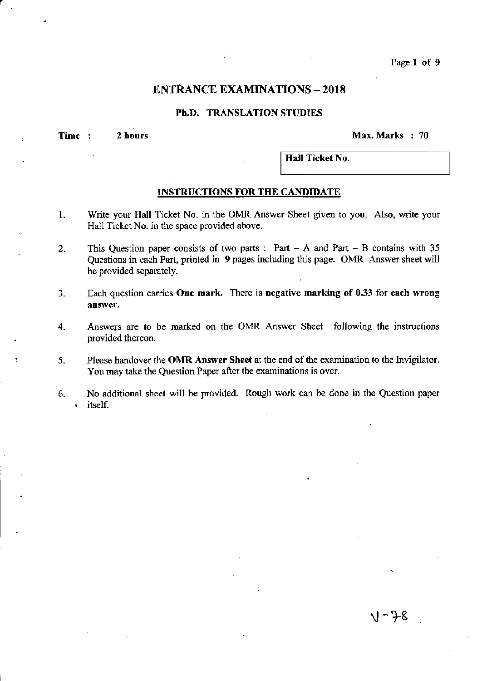## **ENTRANCE EXAMINATIONS - 2018**

## Ph.D. TRANSLATION STUDIES

Time : 2 hours  $24$  hours 2 hours 2 hours 2 hours 2 and 2 and 2 and 2 and 2 and 2 and 2 and 2 and 2 and 2 and 2 and 2 and 2 and 2 and 2 and 2 and 2 and 2 and 2 and 2 and 2 and 2 and 2 and 2 and 2 and 2 and 2 and 2 and 2 an

.) – 7–8

Hall Ticket No.

## INSTRUCTIONS FOR THE CANDIDATE

- 1. Write your Hall Ticket No. in the OMR Answer Sheet given to you. Also, write your Hall Ticket No. in the space provided above.
- 2. This Question paper consists of two parts: Part  $-$  A and Part  $-$  B contains with 35 Questions in each Part, printed in 9 pages including this page. OMR Answer sheet will be provided separately.
- 3. Each question carries One mark. There is negative marking of 0.33 for each wrong answer.
- 4. Answers are to be marked on the OMR Answer Sheet following the instructions provided thereon.
- 5. Please handover the OMR Answer Sheet at the end of the examination to the Invigilator. You may take the Question Paper after the examinations is over.
- 6. No additional sheet will be provided. Rough work can be done in the Question paper itself.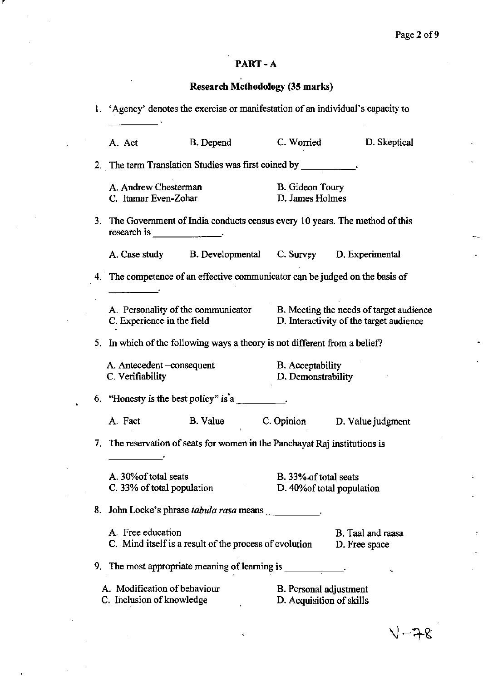## PART-A

# Research Methodology (35 marks)

| 1. 'Agency' denotes the exercise or manifestation of an individual's capacity to |                                                                               |                                                    |                                                                                                                       |  |
|----------------------------------------------------------------------------------|-------------------------------------------------------------------------------|----------------------------------------------------|-----------------------------------------------------------------------------------------------------------------------|--|
| A. Act                                                                           | B. Depend C. Worried                                                          |                                                    | D. Skeptical                                                                                                          |  |
|                                                                                  | 2. The term Translation Studies was first coined by __________.               |                                                    |                                                                                                                       |  |
| A. Andrew Chesterman<br>C. Itamar Even-Zohar                                     |                                                                               | B. Gideon Toury<br>D. James Holmes                 |                                                                                                                       |  |
|                                                                                  | 3. The Government of India conducts census every 10 years. The method of this |                                                    |                                                                                                                       |  |
|                                                                                  | A. Case study B. Developmental C. Survey D. Experimental                      |                                                    |                                                                                                                       |  |
|                                                                                  | 4. The competence of an effective communicator can be judged on the basis of  |                                                    |                                                                                                                       |  |
| C. Experience in the field                                                       |                                                                               |                                                    | A. Personality of the communicator B. Meeting the needs of target audience<br>D. Interactivity of the target audience |  |
|                                                                                  | 5. In which of the following ways a theory is not different from a belief?    |                                                    |                                                                                                                       |  |
| A. Antecedent -consequent<br>C. Verifiability                                    |                                                                               | B. Acceptability<br>D. Demonstrability             |                                                                                                                       |  |
|                                                                                  | 6. "Honesty is the best policy" is $a_{\text{max}}$ .                         |                                                    |                                                                                                                       |  |
| A. Fact                                                                          | B. Value C. Opinion D. Value judgment                                         |                                                    |                                                                                                                       |  |
|                                                                                  | 7. The reservation of seats for women in the Panchayat Raj institutions is    |                                                    |                                                                                                                       |  |
| A. 30% of total seats<br>C. 33% of total population                              |                                                                               | B. 33% of total seats                              | D. 40% of total population                                                                                            |  |
|                                                                                  | 8. John Locke's phrase <i>tabula rasa</i> means                               |                                                    |                                                                                                                       |  |
| A. Free education                                                                | C. Mind itself is a result of the process of evolution                        |                                                    | B. Taal and raasa<br>D. Free space                                                                                    |  |
|                                                                                  | 9. The most appropriate meaning of learning is _______                        |                                                    |                                                                                                                       |  |
| A. Modification of behaviour<br>C. Inclusion of knowledge                        |                                                                               | B. Personal adjustment<br>D. Acquisition of skills |                                                                                                                       |  |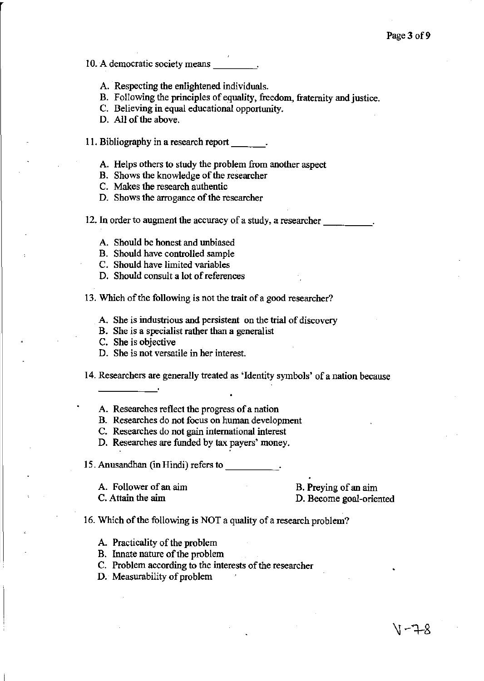**10. A democratic society means** \_\_\_ <sup>~</sup>

- A. Respecting the enlightened individuals.
- B. Following the principles of equality, freedom, fraternity and justice.

**C. Believing in equal educational opportunity.** 

D. All of the above.

11. Bibliography in a research report

- A. Helps others to study the problem from another aspect
- **B. Shows the knowledge of the researcher**
- **C. Makes the research authentic**
- **D. Shows the arrogance** of the **researcher**

12. In order to augment the accuracy of a study, a researcher

- A. Should be honest and unbiased
- B. Should have controlled sample
- C. Should have limited variables
- **D. Should consult a lot** of references

**13. Which** of the **following is not the trait ofa good researcher?** 

**A. She is industrious and persistent on the trial of discovery** 

**B. She is a specialist rather than a generalist** 

- **C. She is objective**
- **D. She is not versatile in her interest.**

14. Researchers are generally treated as 'Identity symbols' of a nation because

- **A. Researches reflect the progress of a nation**
- **B. Researches do not focus on human development**
- **C. Researches do not gain international interest**

**D. Researches are funded by tax payers' money.** 

15. Anusandhan (in Hindi) refers to

**A. Follower of an aim**  C. Attain the aim

**B. Preying of an aim D. Become goal-oriented** 

16. Which of the following is NOT a quality of a research problem?

A. Practicality of the problem

- B. Innate nature of the problem
- **C. Problem according to the interests of the researcher**
- D. Measurability of problem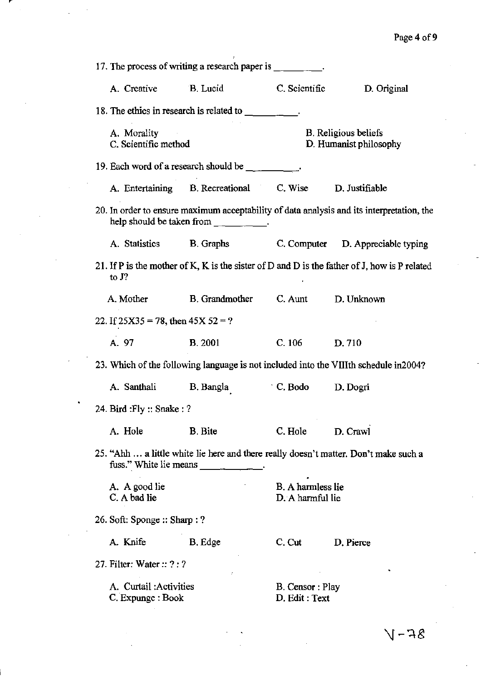| 17. The process of writing a research paper is __________.                                                                                          |                                                                                                                                                                                                                                                                                                                                                                                                            |                                                       |                                                                                              |  |  |  |
|-----------------------------------------------------------------------------------------------------------------------------------------------------|------------------------------------------------------------------------------------------------------------------------------------------------------------------------------------------------------------------------------------------------------------------------------------------------------------------------------------------------------------------------------------------------------------|-------------------------------------------------------|----------------------------------------------------------------------------------------------|--|--|--|
| A. Creative B. Lucid                                                                                                                                |                                                                                                                                                                                                                                                                                                                                                                                                            | C. Scientific                                         | D. Original                                                                                  |  |  |  |
|                                                                                                                                                     |                                                                                                                                                                                                                                                                                                                                                                                                            |                                                       |                                                                                              |  |  |  |
| A. Morality<br>C. Scientific method                                                                                                                 |                                                                                                                                                                                                                                                                                                                                                                                                            | <b>B.</b> Religious beliefs<br>D. Humanist philosophy |                                                                                              |  |  |  |
|                                                                                                                                                     | 19. Each word of a research should be $\frac{1}{2}$ .                                                                                                                                                                                                                                                                                                                                                      |                                                       |                                                                                              |  |  |  |
|                                                                                                                                                     | A. Entertaining B. Recreational C. Wise D. Justifiable                                                                                                                                                                                                                                                                                                                                                     |                                                       |                                                                                              |  |  |  |
|                                                                                                                                                     | help should be taken from $\frac{1}{\sqrt{1-\frac{1}{\sqrt{1-\frac{1}{\sqrt{1-\frac{1}{\sqrt{1-\frac{1}{\sqrt{1-\frac{1}{\sqrt{1-\frac{1}{\sqrt{1-\frac{1}{\sqrt{1-\frac{1}{\sqrt{1-\frac{1}{\sqrt{1-\frac{1}{\sqrt{1-\frac{1}{\sqrt{1-\frac{1}{\sqrt{1-\frac{1}{\sqrt{1-\frac{1}{\sqrt{1-\frac{1}{\sqrt{1-\frac{1}{\sqrt{1-\frac{1}{\sqrt{1-\frac{1}{\sqrt{1-\frac{1}{\sqrt{1-\frac{1}{\sqrt{1-\frac{1}{$ |                                                       | 20. In order to ensure maximum acceptability of data analysis and its interpretation, the    |  |  |  |
| A. Statistics                                                                                                                                       | <b>B.</b> Graphs                                                                                                                                                                                                                                                                                                                                                                                           |                                                       | C. Computer D. Appreciable typing                                                            |  |  |  |
| to $J$ ?                                                                                                                                            |                                                                                                                                                                                                                                                                                                                                                                                                            |                                                       | 21. If P is the mother of K, K is the sister of D and D is the father of J, how is P related |  |  |  |
| A. Mother                                                                                                                                           | B. Grandmother C. Aunt D. Unknown                                                                                                                                                                                                                                                                                                                                                                          |                                                       |                                                                                              |  |  |  |
| 22. If $25X35 = 78$ , then $45X52 = ?$                                                                                                              |                                                                                                                                                                                                                                                                                                                                                                                                            |                                                       |                                                                                              |  |  |  |
| A. 97                                                                                                                                               | <b>B.</b> 2001                                                                                                                                                                                                                                                                                                                                                                                             | $C. 106$ D. 710                                       |                                                                                              |  |  |  |
|                                                                                                                                                     | 23. Which of the following language is not included into the VIIIth schedule in 2004?                                                                                                                                                                                                                                                                                                                      |                                                       |                                                                                              |  |  |  |
| A. Santhali                                                                                                                                         | B. Bangla                                                                                                                                                                                                                                                                                                                                                                                                  | $\cdot$ C. Bodo D. Dogri                              |                                                                                              |  |  |  |
| 24. Bird : Fly :: Snake : ?                                                                                                                         |                                                                                                                                                                                                                                                                                                                                                                                                            |                                                       |                                                                                              |  |  |  |
| A. Hole                                                                                                                                             | <b>B.</b> Bite                                                                                                                                                                                                                                                                                                                                                                                             | C. Hole                                               | D. Crawl                                                                                     |  |  |  |
| 25. "Ahh  a little white lie here and there really doesn't matter. Don't make such a<br>fuss." White lie means<br>and the state of the state of the |                                                                                                                                                                                                                                                                                                                                                                                                            |                                                       |                                                                                              |  |  |  |
| A. A good lie<br>C. A bad lie                                                                                                                       |                                                                                                                                                                                                                                                                                                                                                                                                            |                                                       | B. A harmless lie<br>D. A harmful lie                                                        |  |  |  |
| 26. Soft: Sponge :: Sharp : ?                                                                                                                       |                                                                                                                                                                                                                                                                                                                                                                                                            |                                                       |                                                                                              |  |  |  |
| A. Knife                                                                                                                                            | B. Edge                                                                                                                                                                                                                                                                                                                                                                                                    | C. Cut                                                | D. Pierce                                                                                    |  |  |  |
| 27. Filter: Water $:: ? : ?$<br>٠                                                                                                                   |                                                                                                                                                                                                                                                                                                                                                                                                            |                                                       |                                                                                              |  |  |  |
| A. Curtail: Activities<br>C. Expunge : Book                                                                                                         |                                                                                                                                                                                                                                                                                                                                                                                                            | B. Censor: Play<br>D. Edit : Text                     |                                                                                              |  |  |  |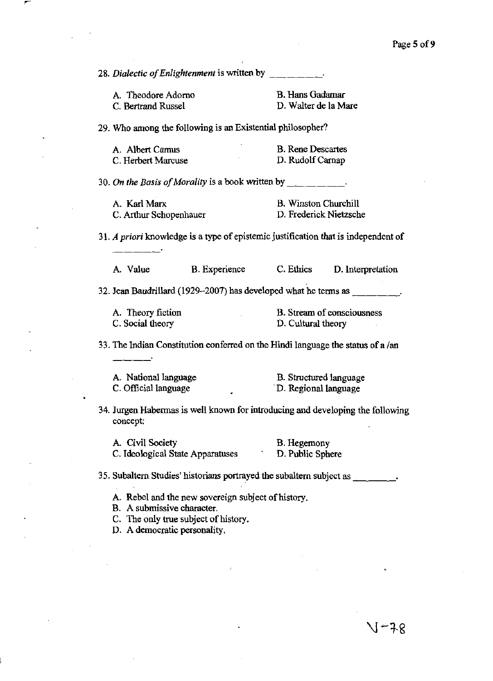28. Dialectic of Enlightenment is written by  $\frac{1}{\sqrt{2}}$ A. Theodore Adorno C. Bertrand Russel B. Hans Gadamar D. Walter de la Mare 29. Who among the following is an Existential philosopher? A. Albert Camus C. Herbert Marcuse **B. Rene Descartes**  D. Rudolf Carnap 30. On the Basis of Morality is a book written by \_\_\_\_\_\_\_\_\_\_. A. KarIMarx C. Arthur Schopenhauer B. Winston Churchill D. Frederick Nietzsche *31. A* **priori knowledge is a type of epistemic justification that is independent of**  A Value **B. Experience** C. Ethics D. Interpretation 32. Jean Baudrillard  $(1929-2007)$  has developed what he terms as  $\qquad \qquad$ . **A. Theory fiction**  C. Social theory **B. Stream of consciousness**  D. Cultural theory 33. The Indian Constitution conferred on the Hindi language the status of a  $/an$ A. National language C. Official language B. Structured language . D. Regional language 34. Jurgen Habermas is well known for introducing and developing the following **concept:**  A. Civil Society B. Hegemony C. Ideological State Apparatuses D. Public Sphere 35. Subaltern Studies' historians portrayed the subaltern subject as \_\_\_ \_ A. Rebel and the new sovereigu subject of history. B. **A submissive character.**  C. The only true subject of history. D. A democratic personality.

J-78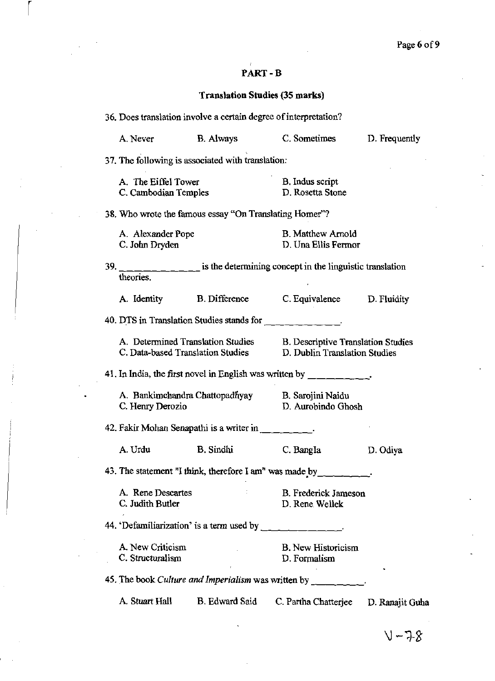# PART-B

r i s

# Translation Studies (35 marks)

|                                                                      | 36. Does translation involve a certain degree of interpretation? |                                                                                                                                                                                                                                                                                                                                                                                                                   |                                                                            |                 |  |  |  |
|----------------------------------------------------------------------|------------------------------------------------------------------|-------------------------------------------------------------------------------------------------------------------------------------------------------------------------------------------------------------------------------------------------------------------------------------------------------------------------------------------------------------------------------------------------------------------|----------------------------------------------------------------------------|-----------------|--|--|--|
|                                                                      | A. Never                                                         | B. Always                                                                                                                                                                                                                                                                                                                                                                                                         | C. Sometimes                                                               | D. Frequently   |  |  |  |
|                                                                      |                                                                  | 37. The following is associated with translation:                                                                                                                                                                                                                                                                                                                                                                 |                                                                            |                 |  |  |  |
|                                                                      | A. The Eiffel Tower<br>C. Cambodian Temples                      |                                                                                                                                                                                                                                                                                                                                                                                                                   | B. Indus script<br>D. Rosetta Stone                                        |                 |  |  |  |
|                                                                      |                                                                  | 38. Who wrote the famous essay "On Translating Homer"?                                                                                                                                                                                                                                                                                                                                                            |                                                                            |                 |  |  |  |
|                                                                      | A. Alexander Pope<br>C. John Dryden                              |                                                                                                                                                                                                                                                                                                                                                                                                                   | <b>B.</b> Matthew Arnold<br>D. Una Ellis Fermor                            |                 |  |  |  |
|                                                                      | theories.                                                        | 39. $\frac{1}{1-\frac{1}{1-\frac{1}{1-\frac{1}{1-\frac{1}{1-\frac{1}{1-\frac{1}{1-\frac{1}{1-\frac{1}{1-\frac{1}{1-\frac{1}{1-\frac{1}{1-\frac{1}{1-\frac{1}{1-\frac{1}{1-\frac{1}{1-\frac{1}{1-\frac{1}{1-\frac{1}{1-\frac{1}{1-\frac{1}{1-\frac{1}{1-\frac{1}{1-\frac{1}{1-\frac{1}{1-\frac{1}{1-\frac{1}{1-\frac{1}{1-\frac{1}{1-\frac{1}{1-\frac{1}{1-\frac{1}{1-\frac{1}{1-\frac{1}{1-\frac{1}{1-\frac{1}{1$ |                                                                            |                 |  |  |  |
|                                                                      | A. Identity                                                      | <b>B.</b> Difference                                                                                                                                                                                                                                                                                                                                                                                              | C. Equivalence D. Fluidity                                                 |                 |  |  |  |
|                                                                      |                                                                  | 40. DTS in Translation Studies stands for                                                                                                                                                                                                                                                                                                                                                                         |                                                                            |                 |  |  |  |
|                                                                      |                                                                  | A. Determined Translation Studies<br>C. Data-based Translation Studies                                                                                                                                                                                                                                                                                                                                            | <b>B.</b> Descriptive Translation Studies<br>D. Dublin Translation Studies |                 |  |  |  |
|                                                                      |                                                                  | 41. In India, the first novel in English was written by $\frac{1}{\sqrt{1-\frac{1}{\sqrt{1-\frac{1}{\sqrt{1-\frac{1}{\sqrt{1-\frac{1}{\sqrt{1-\frac{1}{\sqrt{1-\frac{1}{\sqrt{1-\frac{1}{\sqrt{1-\frac{1}{\sqrt{1-\frac{1}{\sqrt{1-\frac{1}{\sqrt{1-\frac{1}{\sqrt{1-\frac{1}{\sqrt{1-\frac{1}{\sqrt{1-\frac{1}{\sqrt{1-\frac{1}{\sqrt{1-\frac{1}{\sqrt{1-\frac{1}{\sqrt{1-\frac$                                 |                                                                            |                 |  |  |  |
|                                                                      | C. Henry Derozio                                                 |                                                                                                                                                                                                                                                                                                                                                                                                                   | A. Bankimchandra Chattopadhyay B. Sarojini Naidu<br>D. Aurobindo Ghosh     |                 |  |  |  |
|                                                                      |                                                                  | 42. Fakir Mohan Senapathi is a writer in                                                                                                                                                                                                                                                                                                                                                                          |                                                                            |                 |  |  |  |
|                                                                      | A. Urdu                                                          | <b>B.</b> Sindhi                                                                                                                                                                                                                                                                                                                                                                                                  | C. Bangla                                                                  | D. Odiya        |  |  |  |
| 43. The statement "I think, therefore I am" was made by _______ ___. |                                                                  |                                                                                                                                                                                                                                                                                                                                                                                                                   |                                                                            |                 |  |  |  |
|                                                                      | A. Rene Descartes<br>C. Judith Butler                            |                                                                                                                                                                                                                                                                                                                                                                                                                   | <b>B.</b> Frederick Jameson<br>D. Rene Wellek                              |                 |  |  |  |
|                                                                      |                                                                  | 44. 'Defamiliarization' is a term used by ______________.                                                                                                                                                                                                                                                                                                                                                         |                                                                            |                 |  |  |  |
|                                                                      | A. New Criticism<br>C. Structuralism                             | and the company                                                                                                                                                                                                                                                                                                                                                                                                   | <b>B.</b> New Historicism<br>D. Formalism                                  |                 |  |  |  |
|                                                                      |                                                                  |                                                                                                                                                                                                                                                                                                                                                                                                                   | 45. The book <i>Culture and Imperialism</i> was written by                 |                 |  |  |  |
|                                                                      | A. Stuart Hall                                                   | <b>B.</b> Edward Said                                                                                                                                                                                                                                                                                                                                                                                             | C. Partha Chatterjee                                                       | D. Ranajit Guha |  |  |  |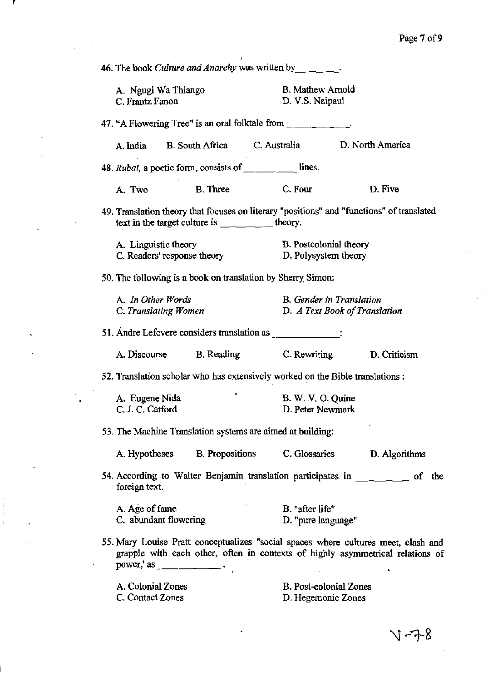46. The book *Culture and Anarchy* was written by \_\_\_\_\_\_\_. A. Ngugi Wa Thiango C. Frantz Fanon B. Mathew Arnold D. V.S. Naipaul **47. "A Flowering Tree" is an oral folktale from** \_\_\_\_\_ \_ A.lndia B. South Africa C. Australia D. North America *48. Rubai,* **a poetic form, consists of \_\_\_\_\_ lines.**  A. Two **B.** Three **C. Four D. Five 49. Translation theory that focuses on literary "positions" and "functions"** of translated text in the target culture is  $\frac{1}{\sqrt{1-\frac{1}{\sqrt{1-\frac{1}{\sqrt{1-\frac{1}{\sqrt{1-\frac{1}{\sqrt{1-\frac{1}{\sqrt{1-\frac{1}{\sqrt{1-\frac{1}{\sqrt{1-\frac{1}{\sqrt{1-\frac{1}{\sqrt{1-\frac{1}{\sqrt{1-\frac{1}{\sqrt{1-\frac{1}{\sqrt{1-\frac{1}{\sqrt{1-\frac{1}{\sqrt{1-\frac{1}{\sqrt{1-\frac{1}{\sqrt{1-\frac{1}{\sqrt{1-\frac{1}{\sqrt{1-\frac{1}{\sqrt{1-\frac{1}{\sqrt{1-\$ **A. Linguistic theory C. Readers' response theory**  B. Postcolonial theory D. Polysystem theory 50. The following is a book on translation by Sherry' Simon: A. *In Other Words* **B.** *Gender in Translation*  **C.** *Translating Women* D. *A Text Book of Translation*  **51. Andre Lefevere considers translation as** ----- **A. Discourse** B. Reading C. Rewriting **D. Criticism 52. Translation scholar who has extensively worked on the Bible translations:** A. Eugene Nida C. J. C. Catford B. W. V. O. Quine D. Peter Newmark 53. The Machine Translation systems are aimed at building: A. Hypotheses **B. Propositions C. Glossaries** D. Algorithms 54. According to Walter Benjamin translation participates in \_\_\_\_\_\_ of the **foreign text.**  A. Age of fame **B. "after life"**  C. abundant flowering **D. IIpure language" 55. Mary Louise Pratt conceptualizes "social spaces where cultures meet, clash and**  grapple with each other, often in contexts of highly asymmetrical relations of **power,' as** \_\_\_\_\_ \_ A. Colonial Zones C. Contact Zones **B. Post-colonial Zones D. Hegemonic Zones**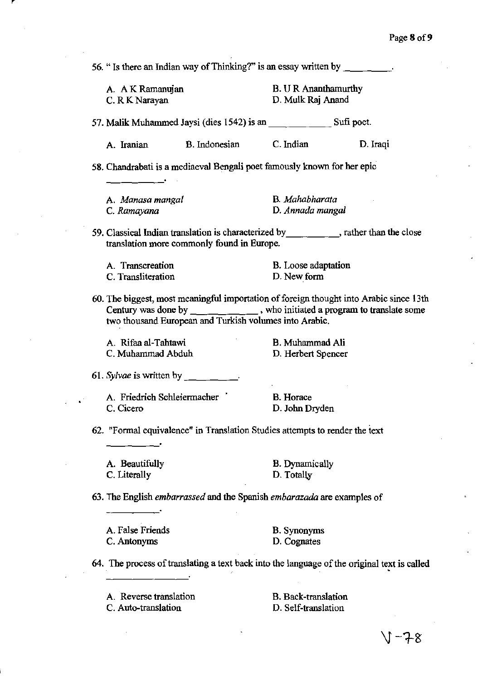**56. " Is there an Indian way** of Thinking?" **is an essay written by** \_\_\_\_ . A AKRamanujan C. R K Narayan B. U R Ananthamurthy D. Mulk Raj Anand 57. Malik Muhammed Jaysi (dies 1542) is an Sufi poet. A. lraniao **B. Indonesian** C. Indian D. Iraqi **58. Chandrabati is a mediaeval Bengali poet famously known for her epic A.** *Manasa mangal*  **C.** *Ramayana*  B. *Mahabharata* **D.** *Annada mangal*  **59. Classical Indian translation is characterized** by \_\_\_\_ ~, rather than **the close translation more commonly found in Europe. A. Transcreation C. Transliteration B. Loose adaptation**  D. New form 60. The biggest, most meaningful importation of foreign thought into Arabic since 13th Century was done by \_\_\_\_\_\_\_\_\_\_\_\_\_\_, who initiated a program to translate some **two thousand European and Turkish volumes into Arabic.**  A. Rifaa al-Tahtawi C. Muhammad Abdub 61. Sylvae is written by  $\qquad \qquad$ **A. Friedrich Schleiermacher**  C. Cicero B. Muhammad Ali D. Herbert Spencer **B. Horace**  D. John Dryden **62. "Formal equivalence" in Translation Studies attempts to render the text**  A. Beautifully C. Literally B. Dynamically D. Totally **63. The English** *embarrassed* **and the Spanish** *embarazada* **are examples of**  A. False Friends C.Antonyms B. Synonyms D. Cognates 64. The process of translating a text back into the language of the original text is called **A. Reverse translation**  C. Auto-translation B. Back-translation D. Self-translation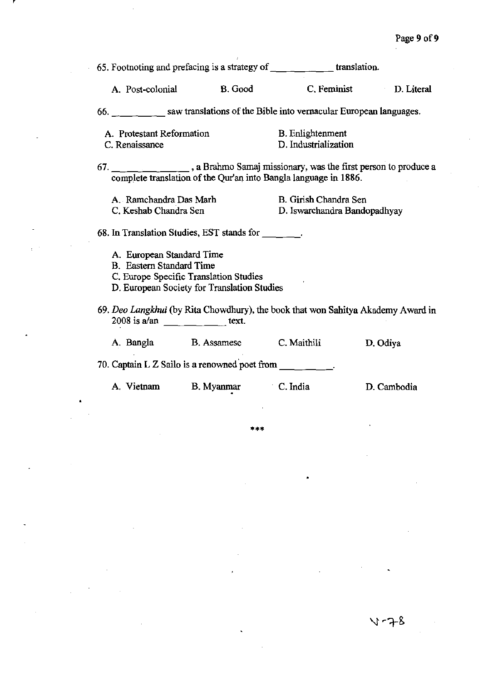$\bar{z}$ 

| 65. Footnoting and prefacing is a strategy of $\frac{1}{\sqrt{1-\frac{1}{\sqrt{1-\frac{1}{\sqrt{1-\frac{1}{\sqrt{1-\frac{1}{\sqrt{1-\frac{1}{\sqrt{1-\frac{1}{\sqrt{1-\frac{1}{\sqrt{1-\frac{1}{\sqrt{1-\frac{1}{\sqrt{1-\frac{1}{\sqrt{1-\frac{1}{\sqrt{1-\frac{1}{\sqrt{1-\frac{1}{\sqrt{1-\frac{1}{\sqrt{1-\frac{1}{\sqrt{1-\frac{1}{\sqrt{1-\frac{1}{\sqrt{1-\frac{1}{\sqrt{1-\frac{$ |                                                 |                                                       |  |  |  |
|-------------------------------------------------------------------------------------------------------------------------------------------------------------------------------------------------------------------------------------------------------------------------------------------------------------------------------------------------------------------------------------------|-------------------------------------------------|-------------------------------------------------------|--|--|--|
| A. Post-colonial B. Good                                                                                                                                                                                                                                                                                                                                                                  |                                                 | C. Feminist D. Literal                                |  |  |  |
| 66. saw translations of the Bible into vernacular European languages.                                                                                                                                                                                                                                                                                                                     |                                                 |                                                       |  |  |  |
| A. Protestant Reformation<br>C. Renaissance                                                                                                                                                                                                                                                                                                                                               | <b>B.</b> Enlightenment<br>D. Industrialization |                                                       |  |  |  |
| 67. ________________, a Brahmo Samaj missionary, was the first person to produce a<br>complete translation of the Qur'an into Bangla language in 1886.                                                                                                                                                                                                                                    |                                                 |                                                       |  |  |  |
| A. Ramchandra Das Marh<br>C. Keshab Chandra Sen                                                                                                                                                                                                                                                                                                                                           |                                                 | B. Girish Chandra Sen<br>D. Iswarchandra Bandopadhyay |  |  |  |
| 68. In Translation Studies, EST stands for _________.                                                                                                                                                                                                                                                                                                                                     |                                                 |                                                       |  |  |  |
| A. European Standard Time<br><b>B.</b> Eastern Standard Time<br>C. Europe Specific Translation Studies<br>D. European Society for Translation Studies                                                                                                                                                                                                                                     |                                                 |                                                       |  |  |  |
| 69. Deo Langkhui (by Rita Chowdhury), the book that won Sahitya Akademy Award in<br>$2008$ is a/an ___ __ __ text.                                                                                                                                                                                                                                                                        |                                                 |                                                       |  |  |  |
| A. Bangla B. Assamese C. Maithili                                                                                                                                                                                                                                                                                                                                                         |                                                 | D. Odiya                                              |  |  |  |
| 70. Captain L Z Sailo is a renowned poet from $\frac{1}{\sqrt{2}}$                                                                                                                                                                                                                                                                                                                        |                                                 |                                                       |  |  |  |
| A. Vietnam B. Myanmar C. India                                                                                                                                                                                                                                                                                                                                                            |                                                 | D. Cambodia                                           |  |  |  |

 $\ddot{\phantom{1}}$ 

l,

 $\overline{\phantom{a}}$ 

**•••** 

 $\ddot{\phantom{0}}$ 

 $\bullet$ 

 $\ddot{\phantom{0}}$ 

 $\cdot$